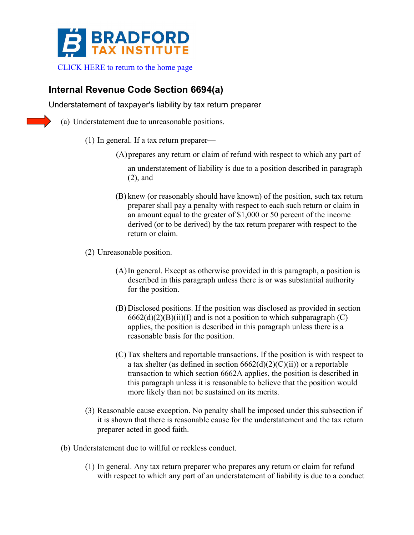

## **Internal Revenue Code Section 6694(a)**

Understatement of taxpayer's liability by tax return preparer

- (a) Understatement due to unreasonable positions.
	- (1) In general. If a tax return preparer—
		- (A)prepares any return or claim of refund with respect to which any part of

an understatement of liability is due to a position described in paragraph (2), and

(B) knew (or reasonably should have known) of the position, such tax return preparer shall pay a penalty with respect to each such return or claim in an amount equal to the greater of \$1,000 or 50 percent of the income derived (or to be derived) by the tax return preparer with respect to the return or claim.

(2) Unreasonable position.

- (A)In general. Except as otherwise provided in this paragraph, a position is described in this paragraph unless there is or was substantial authority for the position.
- (B) Disclosed positions. If the position was disclosed as provided in section  $6662(d)(2)(B)(ii)(I)$  and is not a position to which subparagraph (C) applies, the position is described in this paragraph unless there is a reasonable basis for the position.
- (C) Tax shelters and reportable transactions. If the position is with respect to a tax shelter (as defined in section  $6662(d)(2)(C)(ii)$ ) or a reportable transaction to which section 6662A applies, the position is described in this paragraph unless it is reasonable to believe that the position would more likely than not be sustained on its merits.
- (3) Reasonable cause exception. No penalty shall be imposed under this subsection if it is shown that there is reasonable cause for the understatement and the tax return preparer acted in good faith.
- (b) Understatement due to willful or reckless conduct.
	- (1) In general. Any tax return preparer who prepares any return or claim for refund with respect to which any part of an understatement of liability is due to a conduct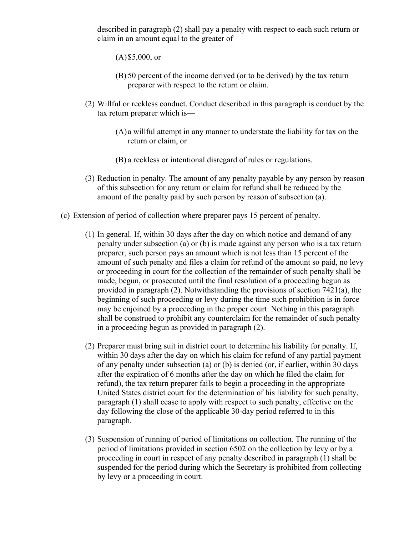described in paragraph (2) shall pay a penalty with respect to each such return or claim in an amount equal to the greater of—

(A)\$5,000, or

- (B) 50 percent of the income derived (or to be derived) by the tax return preparer with respect to the return or claim.
- (2) Willful or reckless conduct. Conduct described in this paragraph is conduct by the tax return preparer which is—
	- (A) a willful attempt in any manner to understate the liability for tax on the return or claim, or
	- (B) a reckless or intentional disregard of rules or regulations.
- (3) Reduction in penalty. The amount of any penalty payable by any person by reason of this subsection for any return or claim for refund shall be reduced by the amount of the penalty paid by such person by reason of subsection (a).
- (c) Extension of period of collection where preparer pays 15 percent of penalty.
	- (1) In general. If, within 30 days after the day on which notice and demand of any penalty under subsection (a) or (b) is made against any person who is a tax return preparer, such person pays an amount which is not less than 15 percent of the amount of such penalty and files a claim for refund of the amount so paid, no levy or proceeding in court for the collection of the remainder of such penalty shall be made, begun, or prosecuted until the final resolution of a proceeding begun as provided in paragraph (2). Notwithstanding the provisions of section 7421(a), the beginning of such proceeding or levy during the time such prohibition is in force may be enjoined by a proceeding in the proper court. Nothing in this paragraph shall be construed to prohibit any counterclaim for the remainder of such penalty in a proceeding begun as provided in paragraph (2).
	- (2) Preparer must bring suit in district court to determine his liability for penalty. If, within 30 days after the day on which his claim for refund of any partial payment of any penalty under subsection (a) or (b) is denied (or, if earlier, within 30 days after the expiration of 6 months after the day on which he filed the claim for refund), the tax return preparer fails to begin a proceeding in the appropriate United States district court for the determination of his liability for such penalty, paragraph (1) shall cease to apply with respect to such penalty, effective on the day following the close of the applicable 30-day period referred to in this paragraph.
	- (3) Suspension of running of period of limitations on collection. The running of the period of limitations provided in section 6502 on the collection by levy or by a proceeding in court in respect of any penalty described in paragraph (1) shall be suspended for the period during which the Secretary is prohibited from collecting by levy or a proceeding in court.